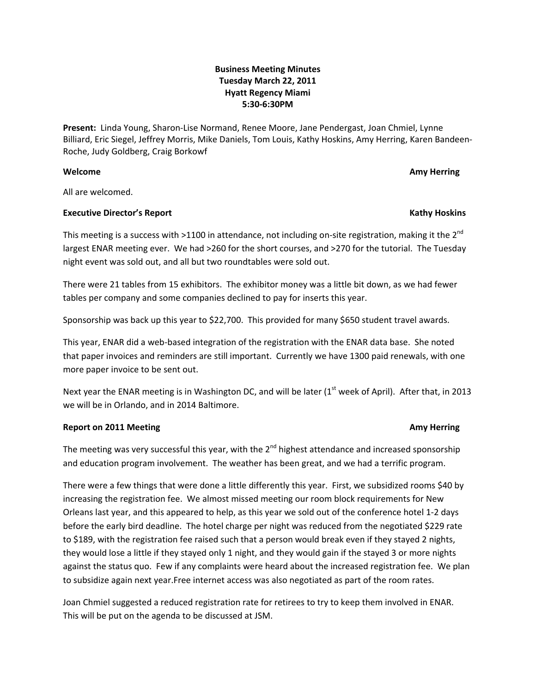# **Business Meeting Minutes Tuesday March 22, 2011 Hyatt Regency Miami 5:30‐6:30PM**

**Present:** Linda Young, Sharon‐Lise Normand, Renee Moore, Jane Pendergast, Joan Chmiel, Lynne Billiard, Eric Siegel, Jeffrey Morris, Mike Daniels, Tom Louis, Kathy Hoskins, Amy Herring, Karen Bandeen‐ Roche, Judy Goldberg, Craig Borkowf

### **Welcome Amy Herring**

All are welcomed.

### **Executive Director's Report Kathy Hoskins**

This meeting is a success with >1100 in attendance, not including on-site registration, making it the  $2^{nd}$ largest ENAR meeting ever. We had >260 for the short courses, and >270 for the tutorial. The Tuesday night event was sold out, and all but two roundtables were sold out.

There were 21 tables from 15 exhibitors. The exhibitor money was a little bit down, as we had fewer tables per company and some companies declined to pay for inserts this year.

Sponsorship was back up this year to \$22,700. This provided for many \$650 student travel awards.

This year, ENAR did a web-based integration of the registration with the ENAR data base. She noted that paper invoices and reminders are still important. Currently we have 1300 paid renewals, with one more paper invoice to be sent out.

Next year the ENAR meeting is in Washington DC, and will be later ( $1<sup>st</sup>$  week of April). After that, in 2013 we will be in Orlando, and in 2014 Baltimore.

## **Report on 2011 Meeting Amy Herring**

The meeting was very successful this year, with the  $2^{nd}$  highest attendance and increased sponsorship and education program involvement. The weather has been great, and we had a terrific program.

There were a few things that were done a little differently this year. First, we subsidized rooms \$40 by increasing the registration fee. We almost missed meeting our room block requirements for New Orleans last year, and this appeared to help, as this year we sold out of the conference hotel 1‐2 days before the early bird deadline. The hotel charge per night was reduced from the negotiated \$229 rate to \$189, with the registration fee raised such that a person would break even if they stayed 2 nights, they would lose a little if they stayed only 1 night, and they would gain if the stayed 3 or more nights against the status quo. Few if any complaints were heard about the increased registration fee. We plan to subsidize again next year.Free internet access was also negotiated as part of the room rates.

Joan Chmiel suggested a reduced registration rate for retirees to try to keep them involved in ENAR. This will be put on the agenda to be discussed at JSM.